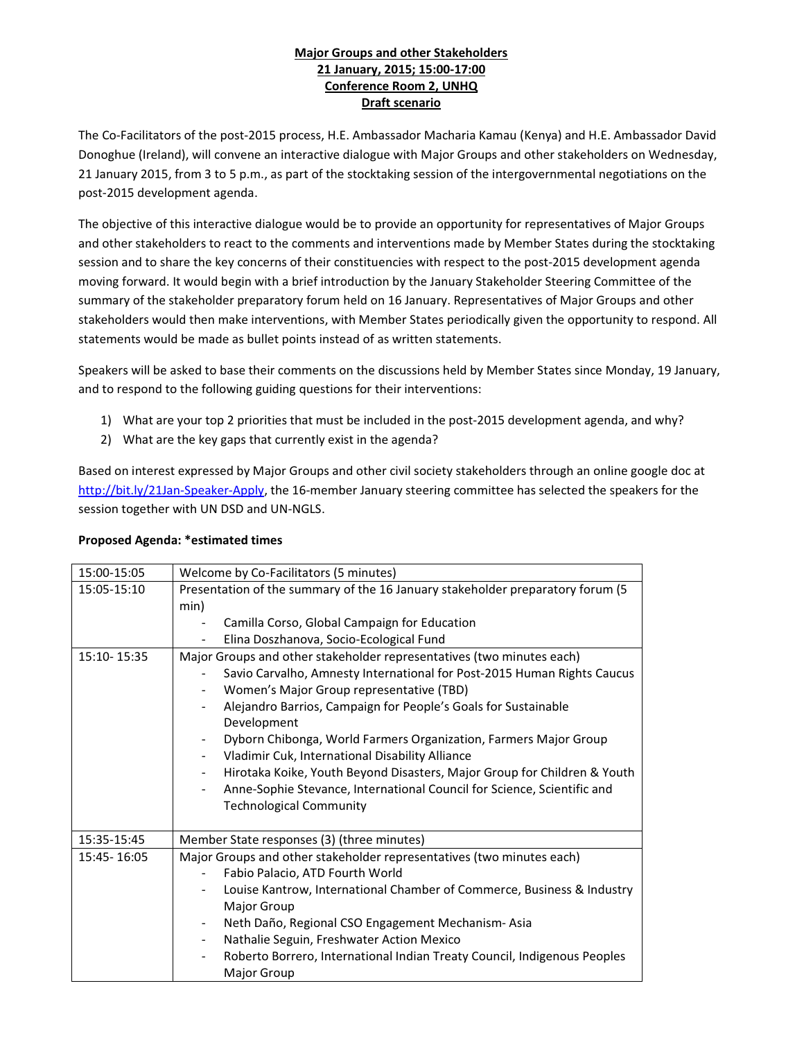## Major Groups and other Stakeholders 21 January, 2015; 15:00-17:00 Conference Room 2, UNHQ Draft scenario

The Co-Facilitators of the post-2015 process, H.E. Ambassador Macharia Kamau (Kenya) and H.E. Ambassador David Donoghue (Ireland), will convene an interactive dialogue with Major Groups and other stakeholders on Wednesday, 21 January 2015, from 3 to 5 p.m., as part of the stocktaking session of the intergovernmental negotiations on the post-2015 development agenda.

The objective of this interactive dialogue would be to provide an opportunity for representatives of Major Groups and other stakeholders to react to the comments and interventions made by Member States during the stocktaking session and to share the key concerns of their constituencies with respect to the post-2015 development agenda moving forward. It would begin with a brief introduction by the January Stakeholder Steering Committee of the summary of the stakeholder preparatory forum held on 16 January. Representatives of Major Groups and other stakeholders would then make interventions, with Member States periodically given the opportunity to respond. All statements would be made as bullet points instead of as written statements.

Speakers will be asked to base their comments on the discussions held by Member States since Monday, 19 January, and to respond to the following guiding questions for their interventions:

- 1) What are your top 2 priorities that must be included in the post-2015 development agenda, and why?
- 2) What are the key gaps that currently exist in the agenda?

Based on interest expressed by Major Groups and other civil society stakeholders through an online google doc at http://bit.ly/21Jan-Speaker-Apply, the 16-member January steering committee has selected the speakers for the session together with UN DSD and UN-NGLS.

## Proposed Agenda: \*estimated times

| 15:00-15:05   | Welcome by Co-Facilitators (5 minutes)                                                                                                                                                                                                                                                                                                                                                                                                                                                                                                                                                                                                        |
|---------------|-----------------------------------------------------------------------------------------------------------------------------------------------------------------------------------------------------------------------------------------------------------------------------------------------------------------------------------------------------------------------------------------------------------------------------------------------------------------------------------------------------------------------------------------------------------------------------------------------------------------------------------------------|
| 15:05-15:10   | Presentation of the summary of the 16 January stakeholder preparatory forum (5<br>min)<br>Camilla Corso, Global Campaign for Education<br>Elina Doszhanova, Socio-Ecological Fund                                                                                                                                                                                                                                                                                                                                                                                                                                                             |
| 15:10-15:35   | Major Groups and other stakeholder representatives (two minutes each)<br>Savio Carvalho, Amnesty International for Post-2015 Human Rights Caucus<br>Women's Major Group representative (TBD)<br>Alejandro Barrios, Campaign for People's Goals for Sustainable<br>Development<br>Dyborn Chibonga, World Farmers Organization, Farmers Major Group<br>Vladimir Cuk, International Disability Alliance<br>$\sim$<br>Hirotaka Koike, Youth Beyond Disasters, Major Group for Children & Youth<br>$\sim$<br>Anne-Sophie Stevance, International Council for Science, Scientific and<br>$\overline{\phantom{0}}$<br><b>Technological Community</b> |
| 15:35-15:45   | Member State responses (3) (three minutes)                                                                                                                                                                                                                                                                                                                                                                                                                                                                                                                                                                                                    |
| 15:45 - 16:05 | Major Groups and other stakeholder representatives (two minutes each)<br>Fabio Palacio, ATD Fourth World<br>Louise Kantrow, International Chamber of Commerce, Business & Industry<br>Major Group<br>Neth Daño, Regional CSO Engagement Mechanism-Asia<br>$\overline{\phantom{0}}$<br>Nathalie Seguin, Freshwater Action Mexico<br>Roberto Borrero, International Indian Treaty Council, Indigenous Peoples<br>Major Group                                                                                                                                                                                                                    |